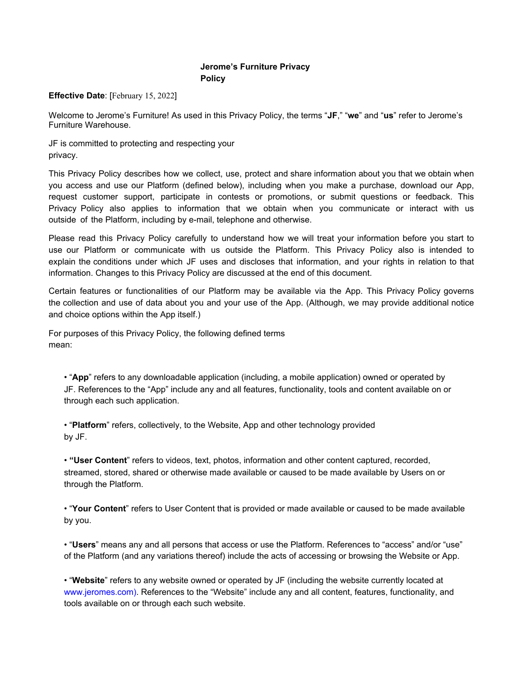## **Jerome's Furniture Privacy Policy**

## **Effective Date**: [February 15, 2022]

Welcome to Jerome's Furniture! As used in this Privacy Policy, the terms "**JF**," "**we**" and "**us**" refer to Jerome's Furniture Warehouse.

JF is committed to protecting and respecting your privacy.

This Privacy Policy describes how we collect, use, protect and share information about you that we obtain when you access and use our Platform (defined below), including when you make a purchase, download our App, request customer support, participate in contests or promotions, or submit questions or feedback. This Privacy Policy also applies to information that we obtain when you communicate or interact with us outside of the Platform, including by e-mail, telephone and otherwise.

Please read this Privacy Policy carefully to understand how we will treat your information before you start to use our Platform or communicate with us outside the Platform. This Privacy Policy also is intended to explain the conditions under which JF uses and discloses that information, and your rights in relation to that information. Changes to this Privacy Policy are discussed at the end of this document.

Certain features or functionalities of our Platform may be available via the App. This Privacy Policy governs the collection and use of data about you and your use of the App. (Although, we may provide additional notice and choice options within the App itself.)

For purposes of this Privacy Policy, the following defined terms mean:

• "**App**" refers to any downloadable application (including, a mobile application) owned or operated by JF. References to the "App" include any and all features, functionality, tools and content available on or through each such application.

• "**Platform**" refers, collectively, to the Website, App and other technology provided by JF.

• **"User Content**" refers to videos, text, photos, information and other content captured, recorded, streamed, stored, shared or otherwise made available or caused to be made available by Users on or through the Platform.

• "**Your Content**" refers to User Content that is provided or made available or caused to be made available by you.

• "**Users**" means any and all persons that access or use the Platform. References to "access" and/or "use" of the Platform (and any variations thereof) include the acts of accessing or browsing the Website or App.

• "**Website**" refers to any website owned or operated by JF (including the website currently located at www.jeromes.com). References to the "Website" include any and all content, features, functionality, and tools available on or through each such website.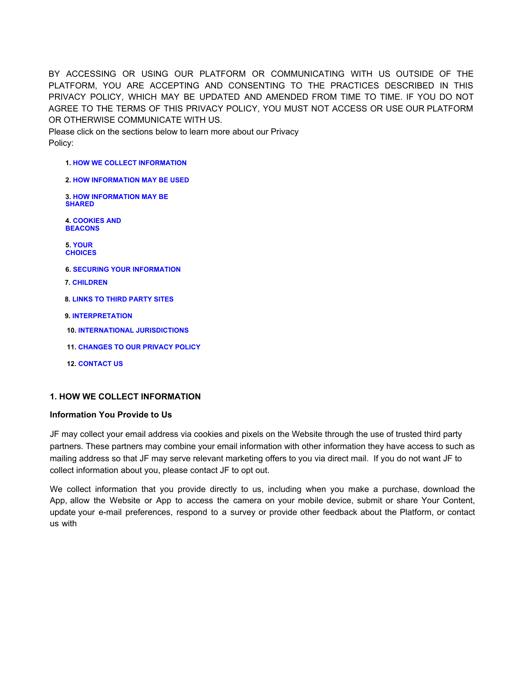BY ACCESSING OR USING OUR PLATFORM OR COMMUNICATING WITH US OUTSIDE OF THE PLATFORM, YOU ARE ACCEPTING AND CONSENTING TO THE PRACTICES DESCRIBED IN THIS PRIVACY POLICY, WHICH MAY BE UPDATED AND AMENDED FROM TIME TO TIME. IF YOU DO NOT AGREE TO THE TERMS OF THIS PRIVACY POLICY, YOU MUST NOT ACCESS OR USE OUR PLATFORM OR OTHERWISE COMMUNICATE WITH US.

Please click on the sections below to learn more about our Privacy Policy:

- **1. HOW WE COLLECT INFORMATION**
- **2. HOW INFORMATION MAY BE USED**
- **3. HOW INFORMATION MAY BE SHARED**

**4. COOKIES AND BEACONS**

**5. YOUR CHOICES**

- **6. SECURING YOUR INFORMATION**
- **7. CHILDREN**
- **8. LINKS TO THIRD PARTY SITES**
- **9. INTERPRETATION**
- **10. INTERNATIONAL JURISDICTIONS**
- **11. CHANGES TO OUR PRIVACY POLICY**
- **12. CONTACT US**

## **1. HOW WE COLLECT INFORMATION**

### **Information You Provide to Us**

JF may collect your email address via cookies and pixels on the Website through the use of trusted third party partners. These partners may combine your email information with other information they have access to such as mailing address so that JF may serve relevant marketing offers to you via direct mail. If you do not want JF to collect information about you, please contact JF to opt out.

We collect information that you provide directly to us, including when you make a purchase, download the App, allow the Website or App to access the camera on your mobile device, submit or share Your Content, update your e-mail preferences, respond to a survey or provide other feedback about the Platform, or contact us with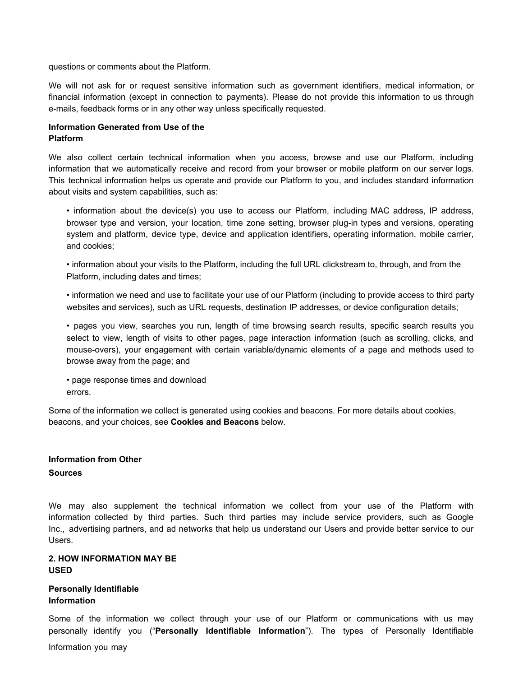questions or comments about the Platform.

We will not ask for or request sensitive information such as government identifiers, medical information, or financial information (except in connection to payments). Please do not provide this information to us through e-mails, feedback forms or in any other way unless specifically requested.

# **Information Generated from Use of the Platform**

We also collect certain technical information when you access, browse and use our Platform, including information that we automatically receive and record from your browser or mobile platform on our server logs. This technical information helps us operate and provide our Platform to you, and includes standard information about visits and system capabilities, such as:

• information about the device(s) you use to access our Platform, including MAC address, IP address, browser type and version, your location, time zone setting, browser plug-in types and versions, operating system and platform, device type, device and application identifiers, operating information, mobile carrier, and cookies;

• information about your visits to the Platform, including the full URL clickstream to, through, and from the Platform, including dates and times;

• information we need and use to facilitate your use of our Platform (including to provide access to third party websites and services), such as URL requests, destination IP addresses, or device configuration details;

• pages you view, searches you run, length of time browsing search results, specific search results you select to view, length of visits to other pages, page interaction information (such as scrolling, clicks, and mouse-overs), your engagement with certain variable/dynamic elements of a page and methods used to browse away from the page; and

• page response times and download errors.

Some of the information we collect is generated using cookies and beacons. For more details about cookies, beacons, and your choices, see **Cookies and Beacons** below.

## **Information from Other**

### **Sources**

We may also supplement the technical information we collect from your use of the Platform with information collected by third parties. Such third parties may include service providers, such as Google Inc., advertising partners, and ad networks that help us understand our Users and provide better service to our Users.

## **2. HOW INFORMATION MAY BE USED**

## **Personally Identifiable Information**

Some of the information we collect through your use of our Platform or communications with us may personally identify you ("**Personally Identifiable Information**"). The types of Personally Identifiable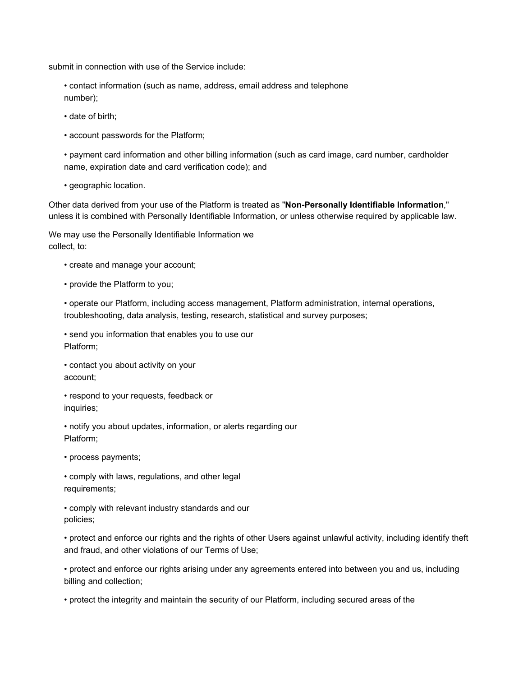submit in connection with use of the Service include:

• contact information (such as name, address, email address and telephone number);

- date of birth;
- account passwords for the Platform;

• payment card information and other billing information (such as card image, card number, cardholder name, expiration date and card verification code); and

• geographic location.

Other data derived from your use of the Platform is treated as "**Non-Personally Identifiable Information**," unless it is combined with Personally Identifiable Information, or unless otherwise required by applicable law.

We may use the Personally Identifiable Information we collect, to:

- create and manage your account;
- provide the Platform to you;

• operate our Platform, including access management, Platform administration, internal operations, troubleshooting, data analysis, testing, research, statistical and survey purposes;

• send you information that enables you to use our Platform;

• contact you about activity on your account;

• respond to your requests, feedback or inquiries;

• notify you about updates, information, or alerts regarding our Platform;

• process payments;

• comply with laws, regulations, and other legal requirements;

• comply with relevant industry standards and our policies;

• protect and enforce our rights and the rights of other Users against unlawful activity, including identify theft and fraud, and other violations of our Terms of Use;

• protect and enforce our rights arising under any agreements entered into between you and us, including billing and collection;

• protect the integrity and maintain the security of our Platform, including secured areas of the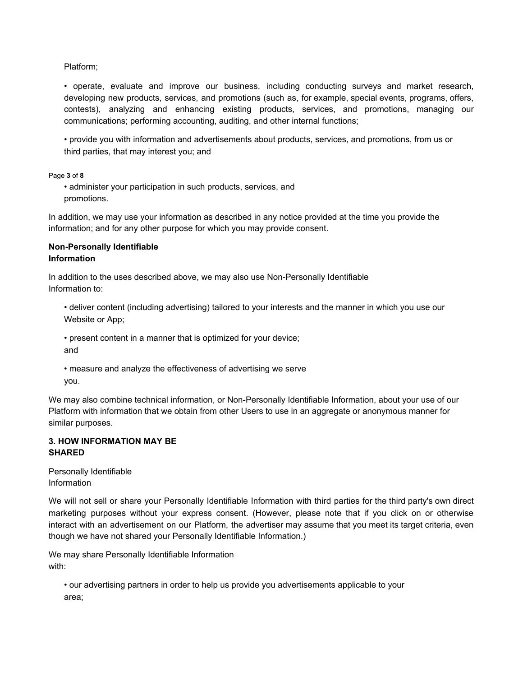Platform;

• operate, evaluate and improve our business, including conducting surveys and market research, developing new products, services, and promotions (such as, for example, special events, programs, offers, contests), analyzing and enhancing existing products, services, and promotions, managing our communications; performing accounting, auditing, and other internal functions;

• provide you with information and advertisements about products, services, and promotions, from us or third parties, that may interest you; and

Page **3** of **8**

• administer your participation in such products, services, and promotions.

In addition, we may use your information as described in any notice provided at the time you provide the information; and for any other purpose for which you may provide consent.

## **Non-Personally Identifiable Information**

In addition to the uses described above, we may also use Non-Personally Identifiable Information to:

• deliver content (including advertising) tailored to your interests and the manner in which you use our Website or App;

• present content in a manner that is optimized for your device; and

• measure and analyze the effectiveness of advertising we serve you.

We may also combine technical information, or Non-Personally Identifiable Information, about your use of our Platform with information that we obtain from other Users to use in an aggregate or anonymous manner for similar purposes.

## **3. HOW INFORMATION MAY BE SHARED**

Personally Identifiable Information

We will not sell or share your Personally Identifiable Information with third parties for the third party's own direct marketing purposes without your express consent. (However, please note that if you click on or otherwise interact with an advertisement on our Platform, the advertiser may assume that you meet its target criteria, even though we have not shared your Personally Identifiable Information.)

We may share Personally Identifiable Information with:

• our advertising partners in order to help us provide you advertisements applicable to your area;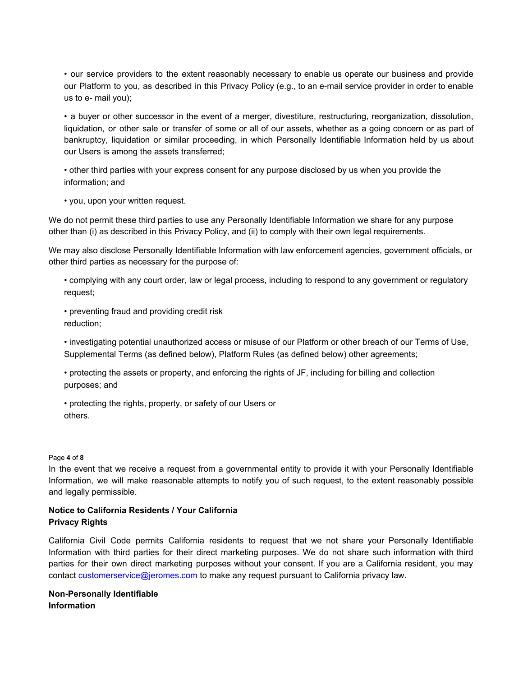• our service providers to the extent reasonably necessary to enable us operate our business and provide our Platform to you, as described in this Privacy Policy (e.g., to an e-mail service provider in order to enable us to e- mail you);

• a buyer or other successor in the event of a merger, divestiture, restructuring, reorganization, dissolution, liquidation, or other sale or transfer of some or all of our assets, whether as a going concern or as part of bankruptcy, liquidation or similar proceeding, in which Personally Identifiable Information held by us about our Users is among the assets transferred;

• other third parties with your express consent for any purpose disclosed by us when you provide the information; and

• you, upon your written request.

We do not permit these third parties to use any Personally Identifiable Information we share for any purpose other than (i) as described in this Privacy Policy, and (ii) to comply with their own legal requirements.

We may also disclose Personally Identifiable Information with law enforcement agencies, government officials, or other third parties as necessary for the purpose of:

• complying with any court order, law or legal process, including to respond to any government or regulatory request;

• preventing fraud and providing credit risk reduction;

• investigating potential unauthorized access or misuse of our Platform or other breach of our Terms of Use, Supplemental Terms (as defined below), Platform Rules (as defined below) other agreements;

• protecting the assets or property, and enforcing the rights of JF, including for billing and collection purposes; and

• protecting the rights, property, or safety of our Users or others.

#### Page **4** of **8**

In the event that we receive a request from a governmental entity to provide it with your Personally Identifiable Information, we will make reasonable attempts to notify you of such request, to the extent reasonably possible and legally permissible.

## **Notice to California Residents / Your California Privacy Rights**

California Civil Code permits California residents to request that we not share your Personally Identifiable Information with third parties for their direct marketing purposes. We do not share such information with third parties for their own direct marketing purposes without your consent. If you are a California resident, you may contact customerservice@jeromes.com to make any request pursuant to California privacy law.

**Non-Personally Identifiable Information**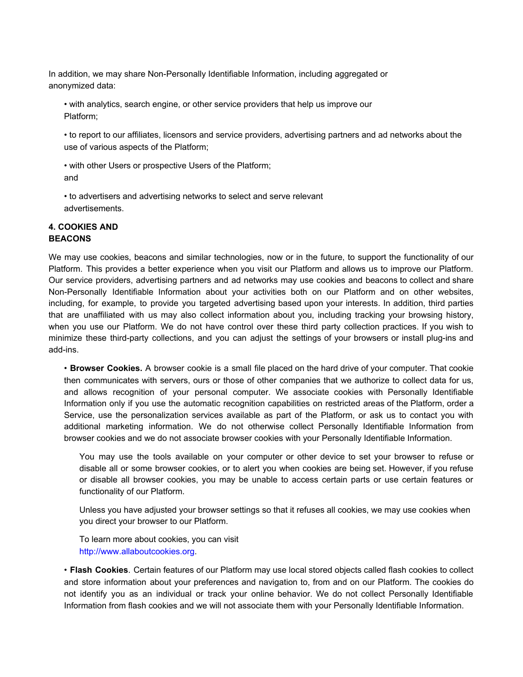In addition, we may share Non-Personally Identifiable Information, including aggregated or anonymized data:

• with analytics, search engine, or other service providers that help us improve our Platform;

• to report to our affiliates, licensors and service providers, advertising partners and ad networks about the use of various aspects of the Platform;

• with other Users or prospective Users of the Platform; and

• to advertisers and advertising networks to select and serve relevant advertisements.

## **4. COOKIES AND BEACONS**

We may use cookies, beacons and similar technologies, now or in the future, to support the functionality of our Platform. This provides a better experience when you visit our Platform and allows us to improve our Platform. Our service providers, advertising partners and ad networks may use cookies and beacons to collect and share Non-Personally Identifiable Information about your activities both on our Platform and on other websites, including, for example, to provide you targeted advertising based upon your interests. In addition, third parties that are unaffiliated with us may also collect information about you, including tracking your browsing history, when you use our Platform. We do not have control over these third party collection practices. If you wish to minimize these third-party collections, and you can adjust the settings of your browsers or install plug-ins and add-ins.

• **Browser Cookies.** A browser cookie is a small file placed on the hard drive of your computer. That cookie then communicates with servers, ours or those of other companies that we authorize to collect data for us, and allows recognition of your personal computer. We associate cookies with Personally Identifiable Information only if you use the automatic recognition capabilities on restricted areas of the Platform, order a Service, use the personalization services available as part of the Platform, or ask us to contact you with additional marketing information. We do not otherwise collect Personally Identifiable Information from browser cookies and we do not associate browser cookies with your Personally Identifiable Information.

You may use the tools available on your computer or other device to set your browser to refuse or disable all or some browser cookies, or to alert you when cookies are being set. However, if you refuse or disable all browser cookies, you may be unable to access certain parts or use certain features or functionality of our Platform.

Unless you have adjusted your browser settings so that it refuses all cookies, we may use cookies when you direct your browser to our Platform.

To learn more about cookies, you can visit http://www.allaboutcookies.org.

• **Flash Cookies**. Certain features of our Platform may use local stored objects called flash cookies to collect and store information about your preferences and navigation to, from and on our Platform. The cookies do not identify you as an individual or track your online behavior. We do not collect Personally Identifiable Information from flash cookies and we will not associate them with your Personally Identifiable Information.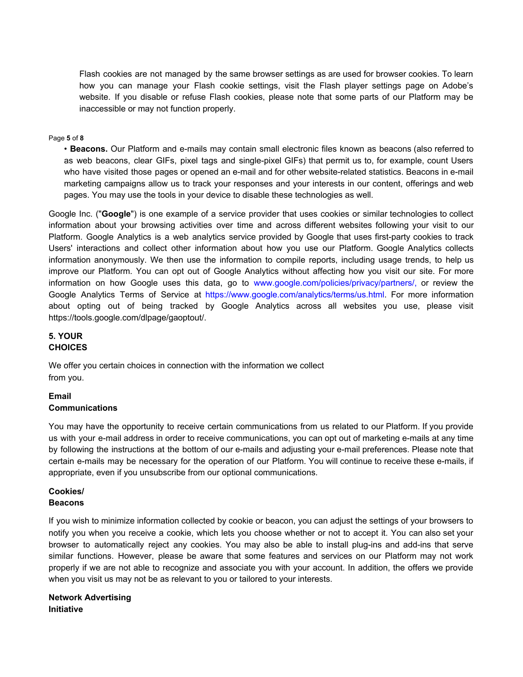Flash cookies are not managed by the same browser settings as are used for browser cookies. To learn how you can manage your Flash cookie settings, visit the Flash player settings page on Adobe's website. If you disable or refuse Flash cookies, please note that some parts of our Platform may be inaccessible or may not function properly.

#### Page **5** of **8**

• **Beacons.** Our Platform and e-mails may contain small electronic files known as beacons (also referred to as web beacons, clear GIFs, pixel tags and single-pixel GIFs) that permit us to, for example, count Users who have visited those pages or opened an e-mail and for other website-related statistics. Beacons in e-mail marketing campaigns allow us to track your responses and your interests in our content, offerings and web pages. You may use the tools in your device to disable these technologies as well.

Google Inc. ("**Google**") is one example of a service provider that uses cookies or similar technologies to collect information about your browsing activities over time and across different websites following your visit to our Platform. Google Analytics is a web analytics service provided by Google that uses first-party cookies to track Users' interactions and collect other information about how you use our Platform. Google Analytics collects information anonymously. We then use the information to compile reports, including usage trends, to help us improve our Platform. You can opt out of Google Analytics without affecting how you visit our site. For more information on how Google uses this data, go to www.google.com/policies/privacy/partners/, or review the Google Analytics Terms of Service at https://www.google.com/analytics/terms/us.html. For more information about opting out of being tracked by Google Analytics across all websites you use, please visit https://tools.google.com/dlpage/gaoptout/.

### **5. YOUR CHOICES**

We offer you certain choices in connection with the information we collect from you.

## **Email Communications**

You may have the opportunity to receive certain communications from us related to our Platform. If you provide us with your e-mail address in order to receive communications, you can opt out of marketing e-mails at any time by following the instructions at the bottom of our e-mails and adjusting your e-mail preferences. Please note that certain e-mails may be necessary for the operation of our Platform. You will continue to receive these e-mails, if appropriate, even if you unsubscribe from our optional communications.

## **Cookies/ Beacons**

If you wish to minimize information collected by cookie or beacon, you can adjust the settings of your browsers to notify you when you receive a cookie, which lets you choose whether or not to accept it. You can also set your browser to automatically reject any cookies. You may also be able to install plug-ins and add-ins that serve similar functions. However, please be aware that some features and services on our Platform may not work properly if we are not able to recognize and associate you with your account. In addition, the offers we provide when you visit us may not be as relevant to you or tailored to your interests.

**Network Advertising Initiative**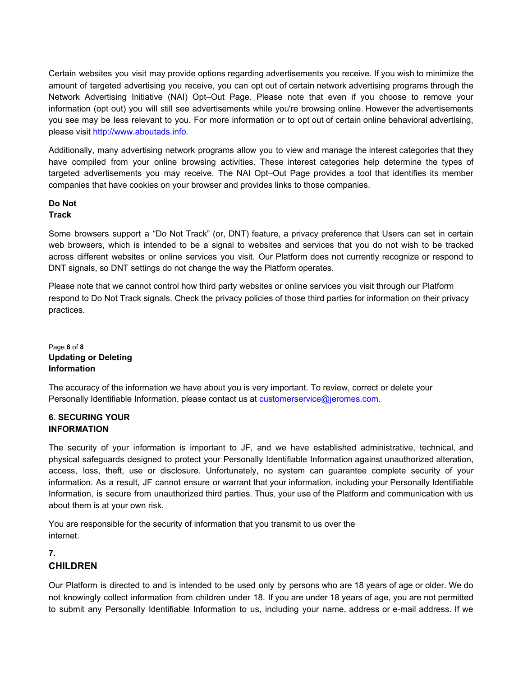Certain websites you visit may provide options regarding advertisements you receive. If you wish to minimize the amount of targeted advertising you receive, you can opt out of certain network advertising programs through the Network Advertising Initiative (NAI) Opt–Out Page. Please note that even if you choose to remove your information (opt out) you will still see advertisements while you're browsing online. However the advertisements you see may be less relevant to you. For more information or to opt out of certain online behavioral advertising, please visit http://www.aboutads.info.

Additionally, many advertising network programs allow you to view and manage the interest categories that they have compiled from your online browsing activities. These interest categories help determine the types of targeted advertisements you may receive. The NAI Opt–Out Page provides a tool that identifies its member companies that have cookies on your browser and provides links to those companies.

## **Do Not Track**

Some browsers support a "Do Not Track" (or, DNT) feature, a privacy preference that Users can set in certain web browsers, which is intended to be a signal to websites and services that you do not wish to be tracked across different websites or online services you visit. Our Platform does not currently recognize or respond to DNT signals, so DNT settings do not change the way the Platform operates.

Please note that we cannot control how third party websites or online services you visit through our Platform respond to Do Not Track signals. Check the privacy policies of those third parties for information on their privacy practices.

Page **6** of **8 Updating or Deleting Information**

The accuracy of the information we have about you is very important. To review, correct or delete your Personally Identifiable Information, please contact us at customerservice@jeromes.com.

# **6. SECURING YOUR INFORMATION**

The security of your information is important to JF, and we have established administrative, technical, and physical safeguards designed to protect your Personally Identifiable Information against unauthorized alteration, access, loss, theft, use or disclosure. Unfortunately, no system can guarantee complete security of your information. As a result, JF cannot ensure or warrant that your information, including your Personally Identifiable Information, is secure from unauthorized third parties. Thus, your use of the Platform and communication with us about them is at your own risk.

You are responsible for the security of information that you transmit to us over the internet.

# **7. CHILDREN**

Our Platform is directed to and is intended to be used only by persons who are 18 years of age or older. We do not knowingly collect information from children under 18. If you are under 18 years of age, you are not permitted to submit any Personally Identifiable Information to us, including your name, address or e-mail address. If we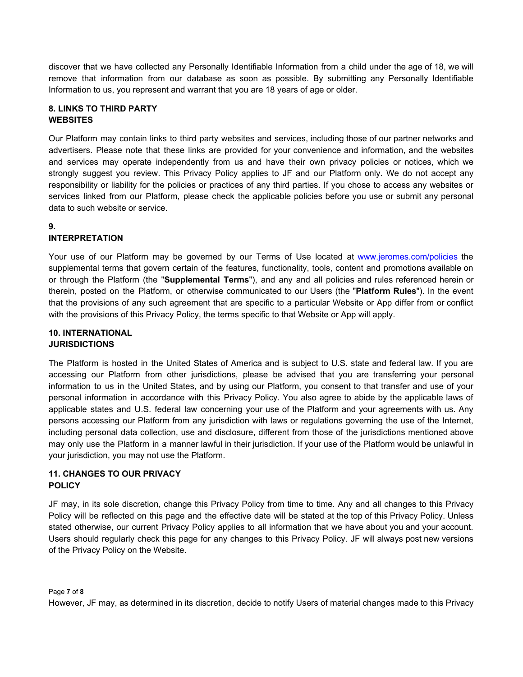discover that we have collected any Personally Identifiable Information from a child under the age of 18, we will remove that information from our database as soon as possible. By submitting any Personally Identifiable Information to us, you represent and warrant that you are 18 years of age or older.

# **8. LINKS TO THIRD PARTY WEBSITES**

Our Platform may contain links to third party websites and services, including those of our partner networks and advertisers. Please note that these links are provided for your convenience and information, and the websites and services may operate independently from us and have their own privacy policies or notices, which we strongly suggest you review. This Privacy Policy applies to JF and our Platform only. We do not accept any responsibility or liability for the policies or practices of any third parties. If you chose to access any websites or services linked from our Platform, please check the applicable policies before you use or submit any personal data to such website or service.

# **9.**

# **INTERPRETATION**

Your use of our Platform may be governed by our Terms of Use located at www.jeromes.com/policies the supplemental terms that govern certain of the features, functionality, tools, content and promotions available on or through the Platform (the "**Supplemental Terms**"), and any and all policies and rules referenced herein or therein, posted on the Platform, or otherwise communicated to our Users (the "**Platform Rules**"). In the event that the provisions of any such agreement that are specific to a particular Website or App differ from or conflict with the provisions of this Privacy Policy, the terms specific to that Website or App will apply.

# **10. INTERNATIONAL JURISDICTIONS**

The Platform is hosted in the United States of America and is subject to U.S. state and federal law. If you are accessing our Platform from other jurisdictions, please be advised that you are transferring your personal information to us in the United States, and by using our Platform, you consent to that transfer and use of your personal information in accordance with this Privacy Policy. You also agree to abide by the applicable laws of applicable states and U.S. federal law concerning your use of the Platform and your agreements with us. Any persons accessing our Platform from any jurisdiction with laws or regulations governing the use of the Internet, including personal data collection, use and disclosure, different from those of the jurisdictions mentioned above may only use the Platform in a manner lawful in their jurisdiction. If your use of the Platform would be unlawful in your jurisdiction, you may not use the Platform.

# **11. CHANGES TO OUR PRIVACY POLICY**

JF may, in its sole discretion, change this Privacy Policy from time to time. Any and all changes to this Privacy Policy will be reflected on this page and the effective date will be stated at the top of this Privacy Policy. Unless stated otherwise, our current Privacy Policy applies to all information that we have about you and your account. Users should regularly check this page for any changes to this Privacy Policy. JF will always post new versions of the Privacy Policy on the Website.

Page **7** of **8**

However, JF may, as determined in its discretion, decide to notify Users of material changes made to this Privacy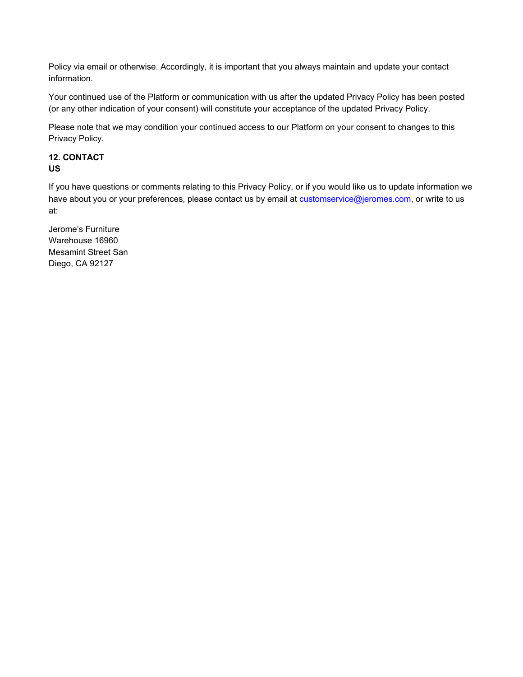Policy via email or otherwise. Accordingly, it is important that you always maintain and update your contact information.

Your continued use of the Platform or communication with us after the updated Privacy Policy has been posted (or any other indication of your consent) will constitute your acceptance of the updated Privacy Policy.

Please note that we may condition your continued access to our Platform on your consent to changes to this Privacy Policy.

# **12. CONTACT US**

If you have questions or comments relating to this Privacy Policy, or if you would like us to update information we have about you or your preferences, please contact us by email at customservice@jeromes.com, or write to us at:

Jerome's Furniture Warehouse 16960 Mesamint Street San Diego, CA 92127